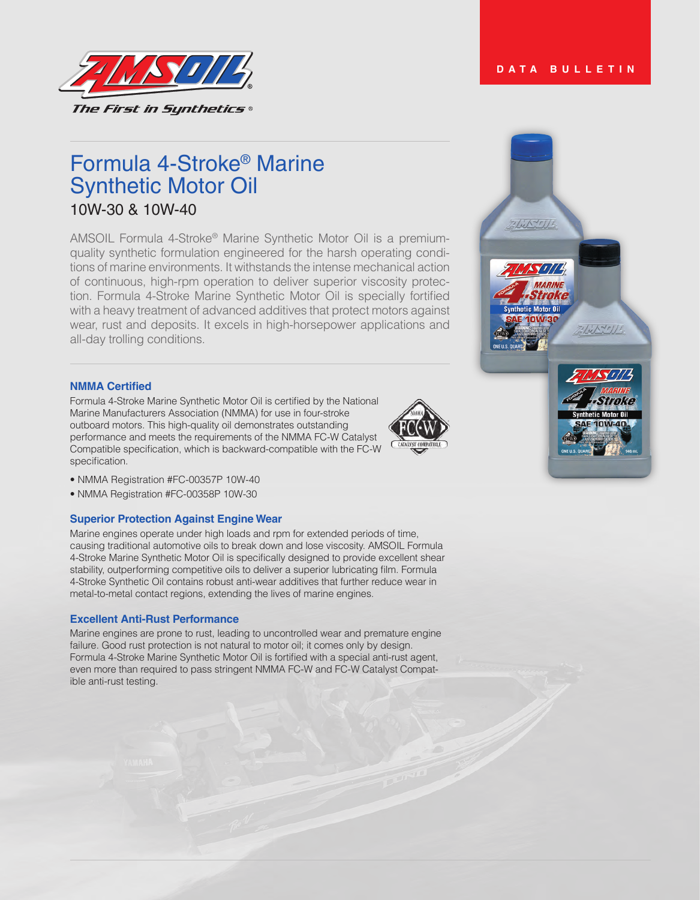



# Formula 4-Stroke® Marine Synthetic Motor Oil 10W-30 & 10W-40

AMSOIL Formula 4-Stroke® Marine Synthetic Motor Oil is a premiumquality synthetic formulation engineered for the harsh operating conditions of marine environments. It withstands the intense mechanical action of continuous, high-rpm operation to deliver superior viscosity protection. Formula 4-Stroke Marine Synthetic Motor Oil is specially fortified with a heavy treatment of advanced additives that protect motors against wear, rust and deposits. It excels in high-horsepower applications and all-day trolling conditions.

## **NMMA Certified**

Formula 4-Stroke Marine Synthetic Motor Oil is certified by the National Marine Manufacturers Association (NMMA) for use in four-stroke outboard motors. This high-quality oil demonstrates outstanding performance and meets the requirements of the NMMA FC-W Catalyst Compatible specification, which is backward-compatible with the FC-W specification.



• NMMA Registration #FC-00358P 10W-30

## **Superior Protection Against Engine Wear**

Marine engines operate under high loads and rpm for extended periods of time, causing traditional automotive oils to break down and lose viscosity. AMSOIL Formula 4-Stroke Marine Synthetic Motor Oil is specifically designed to provide excellent shear stability, outperforming competitive oils to deliver a superior lubricating film. Formula 4-Stroke Synthetic Oil contains robust anti-wear additives that further reduce wear in metal-to-metal contact regions, extending the lives of marine engines.

#### **Excellent Anti-Rust Performance**

Marine engines are prone to rust, leading to uncontrolled wear and premature engine failure. Good rust protection is not natural to motor oil; it comes only by design. Formula 4-Stroke Marine Synthetic Motor Oil is fortified with a special anti-rust agent, even more than required to pass stringent NMMA FC-W and FC-W Catalyst Compatible anti-rust testing.